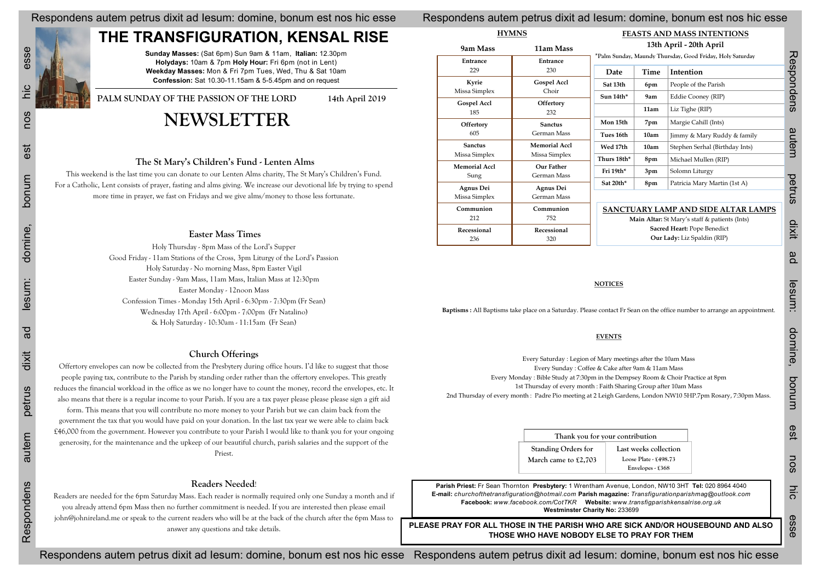Respondens autem petrus dixit ad Iesum: domine, bonum est nos hic esse Respondens autem petrus dixit ad Iesum: domine, bonum est nos hic esse

### Respondens autem petrus dixit ad Iesum: domine, bonum est nos hic esse Re

## **THE TRANSFIGURATION, KENSAL RISE**

**Sunday Masses:** (Sat 6pm) Sun 9am & 11am, **Italian:** 12.30pm **Holydays:** 10am & 7pm **Holy Hour:** Fri 6pm (not in Lent) **Weekday Masses:** Mon & Fri 7pm Tues, Wed, Thu & Sat 10am **Confession:** Sat 10.30-11.15am & 5-5.45pm and on request

PALM SUNDAY OF THE PASSION OF THE LORD 14th April 2019

## **NEWSLETTER**

| <b>HYMNS</b>               |                                                                                                                                       | FEASTS AND MASS INTENTIONS      |                       |                                                                                                                          |
|----------------------------|---------------------------------------------------------------------------------------------------------------------------------------|---------------------------------|-----------------------|--------------------------------------------------------------------------------------------------------------------------|
| 9am Mass                   | 11am Mass                                                                                                                             |                                 |                       | 13th April - 20th April                                                                                                  |
| Entrance                   | Entrance                                                                                                                              |                                 |                       | *Palm Sunday, Maundy Thursday, Good Friday, Holy Saturday                                                                |
| 229                        | 230                                                                                                                                   | Date                            | <b>Time</b>           | Intention                                                                                                                |
| Kyrie                      | <b>Gospel Accl</b>                                                                                                                    | Sat 13th                        | 6pm                   | People of the Parish                                                                                                     |
| Missa Simplex              | Choir                                                                                                                                 | Sun 14th*                       | 9am                   | Eddie Cooney (RIP)                                                                                                       |
| <b>Gospel Accl</b><br>185  | Offertory<br>232                                                                                                                      |                                 | 11am                  | Liz Tighe (RIP)                                                                                                          |
| Offertory                  | <b>Sanctus</b>                                                                                                                        | Mon 15th                        | 7pm                   | Margie Cahill (Ints)                                                                                                     |
| 605                        | German Mass                                                                                                                           | Tues 16th                       | 10am                  | Jimmy & Mary Ruddy & family                                                                                              |
| <b>Sanctus</b>             | <b>Memorial Accl</b>                                                                                                                  | Wed 17th                        | 10am                  | Stephen Serhal (Birthday Ints)                                                                                           |
| Missa Simplex              | Missa Simplex                                                                                                                         | Thurs 18th*                     | 8pm                   | Michael Mullen (RIP)                                                                                                     |
| <b>Memorial Accl</b>       | <b>Our Father</b>                                                                                                                     | Fri 19th*                       | 3pm                   | Solomn Liturgy                                                                                                           |
| Sung                       | German Mass                                                                                                                           | Sat 20th*                       | 8pm                   | Patricia Mary Martin (1st A)                                                                                             |
| Agnus Dei                  | Agnus Dei<br>German Mass                                                                                                              |                                 |                       |                                                                                                                          |
| Missa Simplex<br>Communion |                                                                                                                                       |                                 |                       |                                                                                                                          |
| 212                        | Communion<br>752                                                                                                                      |                                 |                       | SANCTUARY LAMP AND SIDE ALTAR LAMPS<br>Main Altar: St Mary's staff & patients (Ints)                                     |
| Recessional                | Recessional                                                                                                                           | Sacred Heart: Pope Benedict     |                       |                                                                                                                          |
| 236                        | 320                                                                                                                                   |                                 |                       | Our Lady: Liz Spaldin (RIP)                                                                                              |
|                            |                                                                                                                                       |                                 |                       | Baptisms : All Baptisms take place on a Saturday. Please contact Fr Sean on the office number to arrange an appointment. |
|                            |                                                                                                                                       |                                 |                       |                                                                                                                          |
|                            |                                                                                                                                       | <b>EVENTS</b>                   |                       |                                                                                                                          |
|                            |                                                                                                                                       |                                 |                       |                                                                                                                          |
|                            | Every Saturday: Legion of Mary meetings after the 10am Mass                                                                           |                                 |                       |                                                                                                                          |
|                            | Every Sunday: Coffee & Cake after 9am & 11am Mass<br>Every Monday : Bible Study at 7:30pm in the Dempsey Room & Choir Practice at 8pm |                                 |                       |                                                                                                                          |
|                            | 1st Thursday of every month : Faith Sharing Group after 10am Mass                                                                     |                                 |                       |                                                                                                                          |
|                            |                                                                                                                                       |                                 |                       | 2nd Thursday of every month: Padre Pio meeting at 2 Leigh Gardens, London NW10 5HP.7pm Rosary, 7:30pm Mass.              |
|                            |                                                                                                                                       |                                 |                       |                                                                                                                          |
|                            |                                                                                                                                       | Thank you for your contribution |                       |                                                                                                                          |
|                            | <b>Standing Orders for</b>                                                                                                            |                                 | Last weeks collection |                                                                                                                          |
|                            | March came to £2,703                                                                                                                  |                                 | Loose Plate - £498.73 |                                                                                                                          |
|                            |                                                                                                                                       |                                 | Envelopes - £368      |                                                                                                                          |
|                            |                                                                                                                                       |                                 |                       | Parish Priest: Fr Sean Thornton Presbytery: 1 Wrentham Avenue, London, NW10 3HT Tel: 020 8964 4040                       |
|                            |                                                                                                                                       |                                 |                       | E-mail: churchofthetransfiguration@hotmail.com Parish magazine: Transfigurationparishmag@outlook.com                     |
|                            | Facebook: www.facebook.com/CotTKR                                                                                                     | Westminster Charity No: 233699  |                       | Website: www.transfigparishkensalrise.org.uk                                                                             |

### **The St Mary's Children's Fund - Lenten Alms**

This weekend is the last time you can donate to our Lenten Alms charity, The St Mary's Children's Fund. For a Catholic, Lent consists of prayer, fasting and alms giving. We increase our devotional life by trying to spend more time in prayer, we fast on Fridays and we give alms/money to those less fortunate.

### **Easter Mass Times**

Holy Thursday - 8pm Mass of the Lord's Supper Good Friday - 11am Stations of the Cross, 3pm Liturgy of the Lord's Passion Holy Saturday - No morning Mass, 8pm Easter Vigil Easter Sunday - 9am Mass, 11am Mass, Italian Mass at 12:30pm Easter Monday - 12noon Mass Confession Times - Monday 15th April - 6:30pm - 7:30pm (Fr Sean) Wednesday 17th April - 6:00pm - 7:00pm (Fr Natalino) & Holy Saturday - 10:30am - 11:15am (Fr Sean)

### **Church Offerings**

Offertory envelopes can now be collected from the Presbytery during office hours. I'd like to suggest that those people paying tax, contribute to the Parish by standing order rather than the offertory envelopes. This greatly reduces the financial workload in the office as we no longer have to count the money, record the envelopes, etc. It also means that there is a regular income to your Parish. If you are a tax payer please please please sign a gift aid

form. This means that you will contribute no more money to your Parish but we can claim back from the government the tax that you would have paid on your donation. In the last tax year we were able to claim back £46,000 from the government. However you contribute to your Parish I would like to thank you for your ongoing generosity, for the maintenance and the upkeep of our beautiful church, parish salaries and the support of the Priest.

### **Readers Needed**!

Readers are needed for the 6pm Saturday Mass. Each reader is normally required only one Sunday a month and if you already attend 6pm Mass then no further commitment is needed. If you are interested then please email john@johnireland.me or speak to the current readers who will be at the back of the church after the 6pm Mass to answer any questions and take details.